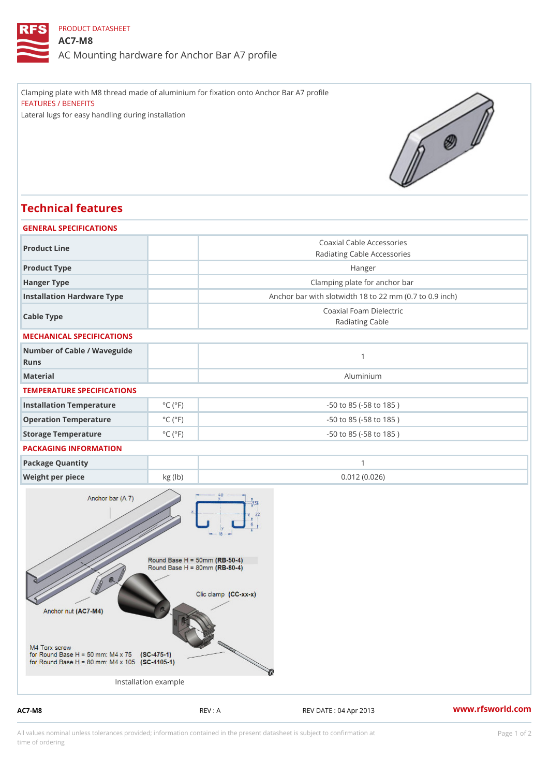## PRODUCT DATASHEET

## AC7-M8

AC Mounting hardware for Anchor Bar A7 profile

Clamping plate with M8 thread made of aluminium for fixation onto Anchor Bar A7 profile FEATURES / BENEFITS Lateral lugs for easy handling during installation

## Technical features

| GENERAL SPECIFICATIONS              |                             |                                                          |
|-------------------------------------|-----------------------------|----------------------------------------------------------|
| Product Line                        |                             | Coaxial Cable Accessories<br>Radiating Cable Accessories |
| Product Type                        |                             | Hanger                                                   |
| Hanger Type                         |                             | Clamping plate for anchor bar                            |
| Installation Hardware Type          |                             | Anchor bar with slotwidth 18 to 22 mm (0.7 to 0.9 ind    |
| Cable Type                          |                             | Coaxial Foam Dielectric<br>Radiating Cable               |
| MECHANICAL SPECIFICATIONS           |                             |                                                          |
| Number of Cable / Waveguide<br>Runs |                             | $\mathbf{1}$                                             |
| Material                            |                             | Aluminium                                                |
| TEMPERATURE SPECIFICATIONS          |                             |                                                          |
| Installation Temperature            | $^{\circ}$ C ( $^{\circ}$ F | $-50$ to $85$ ( $-58$ to $185$ )                         |
| Operation Temperature               | $^{\circ}$ C ( $^{\circ}$ F | $-50$ to $85$ ( $-58$ to $185$ )                         |
| Storage Temperature                 | $^{\circ}$ C ( $^{\circ}$ F | $-50$ to $85$ ( $-58$ to $185$ )                         |
| PACKAGING INFORMATION               |                             |                                                          |
| Package Quantity                    |                             | $\mathbf{1}$                                             |
| Weight per piece                    | kg (lb)                     | 0.012(0.026)                                             |

Installation example

AC7-M8 REV : A REV : A REV DATE : 04 Apr 2013 WWW.rfsworld.com

All values nominal unless tolerances provided; information contained in the present datasheet is subject to Pcapgeign manation time of ordering